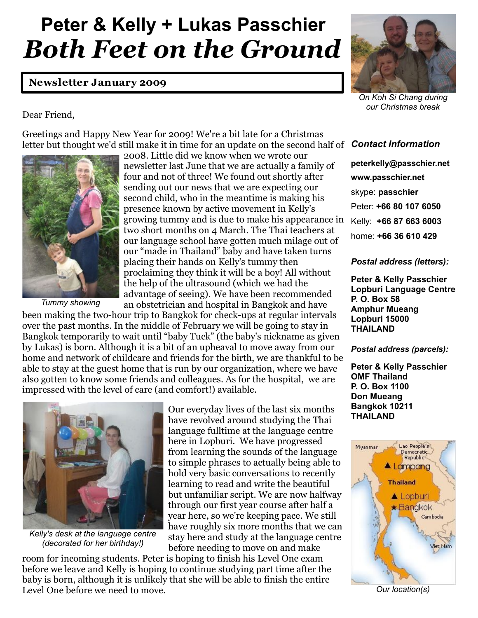# **Peter & Kelly + Lukas Passchier** *Both Feet on the Ground*

# **Newsletter January 2009**



*On Koh Si Chang during our Christmas break*

# Dear Friend,

Greetings and Happy New Year for 2009! We're a bit late for a Christmas letter but thought we'd still make it in time for an update on the second half of *Contact Information*



*Tummy showing*

2008. Little did we know when we wrote our newsletter last June that we are actually a family of four and not of three! We found out shortly after sending out our news that we are expecting our second child, who in the meantime is making his presence known by active movement in Kelly's growing tummy and is due to make his appearance in two short months on 4 March. The Thai teachers at our language school have gotten much milage out of our "made in Thailand" baby and have taken turns placing their hands on Kelly's tummy then proclaiming they think it will be a boy! All without the help of the ultrasound (which we had the advantage of seeing). We have been recommended an obstetrician and hospital in Bangkok and have

been making the two-hour trip to Bangkok for check-ups at regular intervals over the past months. In the middle of February we will be going to stay in Bangkok temporarily to wait until "baby Tuck" (the baby's nickname as given by Lukas) is born. Although it is a bit of an upheaval to move away from our home and network of childcare and friends for the birth, we are thankful to be able to stay at the guest home that is run by our organization, where we have also gotten to know some friends and colleagues. As for the hospital, we are impressed with the level of care (and comfort!) available.



*Kelly's desk at the language centre (decorated for her birthday!)*

Our everyday lives of the last six months have revolved around studying the Thai language fulltime at the language centre here in Lopburi. We have progressed from learning the sounds of the language to simple phrases to actually being able to hold very basic conversations to recently learning to read and write the beautiful but unfamiliar script. We are now halfway through our first year course after half a year here, so we're keeping pace. We still have roughly six more months that we can stay here and study at the language centre before needing to move on and make

room for incoming students. Peter is hoping to finish his Level One exam before we leave and Kelly is hoping to continue studying part time after the baby is born, although it is unlikely that she will be able to finish the entire Level One before we need to move.

**peterkelly@passchier.net www.passchier.net** skype: **passchier** Peter: **+66 80 107 6050** Kelly: **+66 87 663 6003** home: **+66 36 610 429**

## *Postal address (letters):*

**Peter & Kelly Passchier Lopburi Language Centre P. O. Box 58 Amphur Mueang Lopburi 15000 THAILAND** 

### *Postal address (parcels):*

**Peter & Kelly Passchier OMF Thailand P. O. Box 1100 Don Mueang Bangkok 10211 THAILAND** 



*Our location(s)*